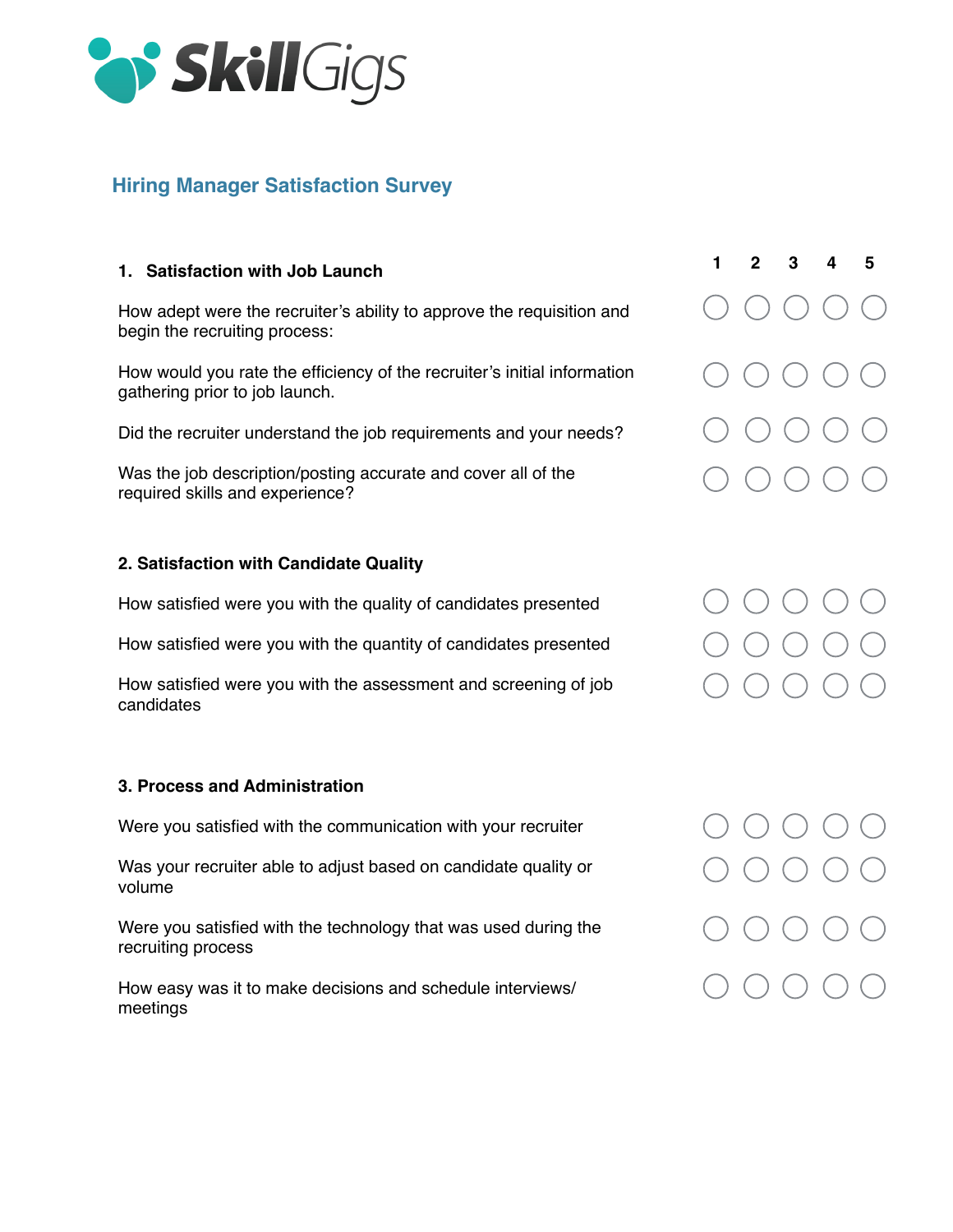

# **Hiring Manager Satisfaction Survey**

## **1. Satisfaction with Job Launch**

How adept were the recruiter's ability to approve the requisition and begin the recruiting process:

How would you rate the efficiency of the recruiter's initial information gathering prior to job launch.

Did the recruiter understand the job requirements and your needs?

Was the job description/posting accurate and cover all of the required skills and experience?

# **2. Satisfaction with Candidate Quality**

How satisfied were you with the quality of candidates presented

How satisfied were you with the quantity of candidates presented

How satisfied were you with the assessment and screening of job candidates

## **3. Process and Administration**

Were you satisfied with the communication with your recruiter

Was your recruiter able to adjust based on candidate quality or volume

Were you satisfied with the technology that was used during the recruiting process

How easy was it to make decisions and schedule interviews/ meetings

|  | $1 \quad 2 \quad 3 \quad 4 \quad 5$                                                                                                                                                                                                                                                                                                          |  |
|--|----------------------------------------------------------------------------------------------------------------------------------------------------------------------------------------------------------------------------------------------------------------------------------------------------------------------------------------------|--|
|  | $\bigcirc \bigcirc \bigcirc \bigcirc \bigcirc \bigcirc$                                                                                                                                                                                                                                                                                      |  |
|  | $\bigcirc \bigcirc \bigcirc \bigcirc \bigcirc \bigcirc$                                                                                                                                                                                                                                                                                      |  |
|  | $\begin{array}{ccc} \circ & \circ & \circ & \circ & \circ \end{array}$                                                                                                                                                                                                                                                                       |  |
|  | $\bigcap_{i=1}^n\bigcap_{i=1}^n\bigcap_{i=1}^n\bigcap_{i=1}^n\bigcap_{i=1}^n\bigcap_{i=1}^n\bigcap_{i=1}^n\bigcap_{i=1}^n\bigcap_{i=1}^n\bigcap_{i=1}^n\bigcap_{i=1}^n\bigcap_{i=1}^n\bigcap_{i=1}^n\bigcap_{i=1}^n\bigcap_{i=1}^n\bigcap_{i=1}^n\bigcap_{i=1}^n\bigcap_{i=1}^n\bigcap_{i=1}^n\bigcap_{i=1}^n\bigcap_{i=1}^n\bigcap_{i=1}^n$ |  |